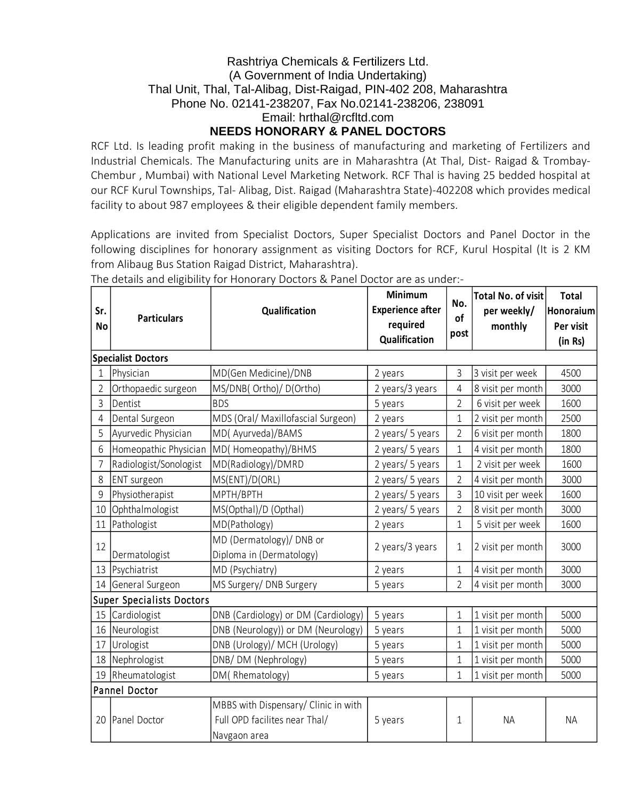# Rashtriya Chemicals & Fertilizers Ltd. (A Government of India Undertaking) Thal Unit, Thal, Tal-Alibag, Dist-Raigad, PIN-402 208, Maharashtra Phone No. 02141-238207, Fax No.02141-238206, 238091 Email: hrthal@rcfltd.com **NEEDS HONORARY & PANEL DOCTORS**

RCF Ltd. Is leading profit making in the business of manufacturing and marketing of Fertilizers and Industrial Chemicals. The Manufacturing units are in Maharashtra (At Thal, Dist- Raigad & Trombay-Chembur , Mumbai) with National Level Marketing Network. RCF Thal is having 25 bedded hospital at our RCF Kurul Townships, Tal- Alibag, Dist. Raigad (Maharashtra State)-402208 which provides medical facility to about 987 employees & their eligible dependent family members.

Applications are invited from Specialist Doctors, Super Specialist Doctors and Panel Doctor in the following disciplines for honorary assignment as visiting Doctors for RCF, Kurul Hospital (It is 2 KM from Alibaug Bus Station Raigad District, Maharashtra).

| Sr.<br><b>No</b>                        | <b>Particulars</b>                                                                                      | Qualification                                                                         | Minimum<br><b>Experience after</b><br>required<br>Qualification | No.<br>of<br>post           | <b>Total No. of visit</b><br>per weekly/<br>monthly | <b>Total</b><br>Honoraium<br>Per visit<br>(in Rs) |
|-----------------------------------------|---------------------------------------------------------------------------------------------------------|---------------------------------------------------------------------------------------|-----------------------------------------------------------------|-----------------------------|-----------------------------------------------------|---------------------------------------------------|
|                                         | <b>Specialist Doctors</b>                                                                               |                                                                                       |                                                                 |                             |                                                     |                                                   |
| 1                                       | Physician                                                                                               | MD(Gen Medicine)/DNB                                                                  | 2 years                                                         | 3                           | 3 visit per week                                    | 4500                                              |
| $\overline{2}$                          | Orthopaedic surgeon                                                                                     | MS/DNB( Ortho)/ D(Ortho)                                                              | 2 years/3 years                                                 | $\overline{4}$              | 8 visit per month                                   | 3000                                              |
| 3                                       | Dentist                                                                                                 | <b>BDS</b>                                                                            | 5 years                                                         | $\overline{2}$              | 6 visit per week                                    | 1600                                              |
| 4                                       | Dental Surgeon                                                                                          | MDS (Oral/ Maxillofascial Surgeon)                                                    | 2 years                                                         | $\mathbf 1$                 | 2 visit per month                                   | 2500                                              |
| 5                                       | Ayurvedic Physician                                                                                     | MD(Ayurveda)/BAMS                                                                     | 2 years/ 5 years                                                | $\overline{2}$              | 6 visit per month                                   | 1800                                              |
| 6                                       | Homeopathic Physician                                                                                   | MD(Homeopathy)/BHMS                                                                   | 2 years/ 5 years                                                | $\mathbf 1$                 | 4 visit per month                                   | 1800                                              |
| $\overline{7}$                          | Radiologist/Sonologist                                                                                  | MD(Radiology)/DMRD                                                                    | 2 years/ 5 years                                                | $\mathbf 1$                 | 2 visit per week                                    | 1600                                              |
| 8                                       | <b>ENT</b> surgeon                                                                                      | MS(ENT)/D(ORL)                                                                        | 2 years/ 5 years                                                | $\overline{2}$              | 4 visit per month                                   | 3000                                              |
| 9                                       | Physiotherapist                                                                                         | MPTH/BPTH                                                                             |                                                                 | $\overline{3}$              | 10 visit per week                                   | 1600                                              |
| 10                                      | Ophthalmologist                                                                                         | MS(Opthal)/D (Opthal)                                                                 | 2 years/ 5 years                                                | $\overline{2}$              | 8 visit per month                                   | 3000                                              |
| 11                                      | Pathologist                                                                                             | MD(Pathology)                                                                         | 2 years                                                         | $\mathbf 1$                 | 5 visit per week                                    | 1600                                              |
| 12                                      |                                                                                                         | MD (Dermatology)/ DNB or                                                              | 2 years/3 years                                                 | $\mathbf 1$                 | 2 visit per month                                   | 3000                                              |
|                                         | Dermatologist                                                                                           | Diploma in (Dermatology)                                                              |                                                                 |                             |                                                     | 3000                                              |
| 13                                      | Psychiatrist                                                                                            | MD (Psychiatry)                                                                       | 2 years                                                         | $\mathbf 1$                 | 4 visit per month                                   |                                                   |
|                                         | 14 General Surgeon<br>MS Surgery/ DNB Surgery<br>$\overline{2}$<br>4 visit per month<br>5 years<br>3000 |                                                                                       |                                                                 |                             |                                                     |                                                   |
|                                         | <b>Super Specialists Doctors</b>                                                                        |                                                                                       |                                                                 |                             |                                                     | 5000                                              |
| 15                                      | Cardiologist                                                                                            | DNB (Cardiology) or DM (Cardiology)                                                   | 5 years                                                         | $\mathbf 1$<br>$\mathbf{1}$ | 1 visit per month                                   | 5000                                              |
| 16<br>17                                | Neurologist                                                                                             | DNB (Neurology)) or DM (Neurology)                                                    | 5 years                                                         | $\mathbf{1}$                | 1 visit per month                                   | 5000                                              |
| 18                                      | Urologist                                                                                               | DNB (Urology)/ MCH (Urology)                                                          | 5 years                                                         | $\mathbf{1}$                | 1 visit per month                                   | 5000                                              |
|                                         | Nephrologist                                                                                            | DNB/DM (Nephrology)                                                                   | 5 years                                                         |                             | 1 visit per month                                   |                                                   |
| Rheumatologist<br>DM(Rhematology)<br>19 |                                                                                                         | 5 years                                                                               | $\mathbf 1$                                                     | 1 visit per month           | 5000                                                |                                                   |
|                                         | Pannel Doctor                                                                                           |                                                                                       |                                                                 |                             |                                                     |                                                   |
| 20                                      | Panel Doctor                                                                                            | MBBS with Dispensary/ Clinic in with<br>Full OPD facilites near Thal/<br>Navgaon area | 5 years                                                         | $\mathbf 1$                 | <b>NA</b>                                           | <b>NA</b>                                         |

The details and eligibility for Honorary Doctors & Panel Doctor are as under:-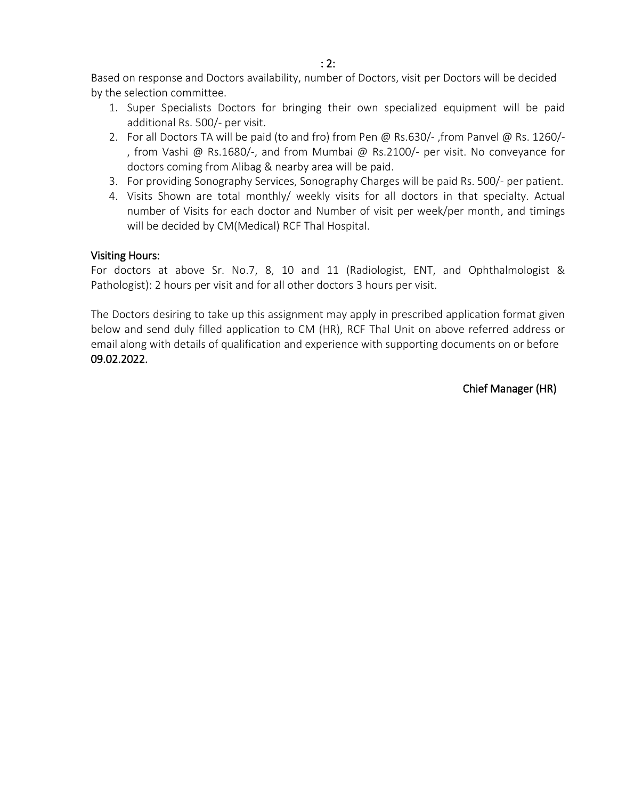Based on response and Doctors availability, number of Doctors, visit per Doctors will be decided by the selection committee.

- 1. Super Specialists Doctors for bringing their own specialized equipment will be paid additional Rs. 500/- per visit.
- 2. For all Doctors TA will be paid (to and fro) from Pen @ Rs.630/- ,from Panvel @ Rs. 1260/- , from Vashi @ Rs.1680/-, and from Mumbai @ Rs.2100/- per visit. No conveyance for doctors coming from Alibag & nearby area will be paid.
- 3. For providing Sonography Services, Sonography Charges will be paid Rs. 500/- per patient.
- 4. Visits Shown are total monthly/ weekly visits for all doctors in that specialty. Actual number of Visits for each doctor and Number of visit per week/per month, and timings will be decided by CM(Medical) RCF Thal Hospital.

### Visiting Hours:

For doctors at above Sr. No.7, 8, 10 and 11 (Radiologist, ENT, and Ophthalmologist & Pathologist): 2 hours per visit and for all other doctors 3 hours per visit.

The Doctors desiring to take up this assignment may apply in prescribed application format given below and send duly filled application to CM (HR), RCF Thal Unit on above referred address or email along with details of qualification and experience with supporting documents on or before 09.02.2022.

Chief Manager (HR)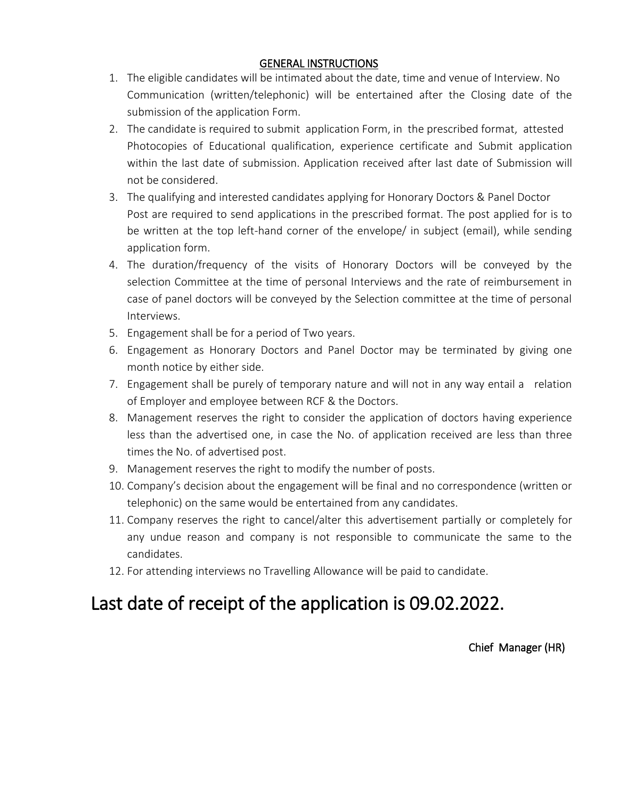#### GENERAL INSTRUCTIONS

- 1. The eligible candidates will be intimated about the date, time and venue of Interview. No Communication (written/telephonic) will be entertained after the Closing date of the submission of the application Form.
- 2. The candidate is required to submit application Form, in the prescribed format, attested Photocopies of Educational qualification, experience certificate and Submit application within the last date of submission. Application received after last date of Submission will not be considered.
- 3. The qualifying and interested candidates applying for Honorary Doctors & Panel Doctor Post are required to send applications in the prescribed format. The post applied for is to be written at the top left-hand corner of the envelope/ in subject (email), while sending application form.
- 4. The duration/frequency of the visits of Honorary Doctors will be conveyed by the selection Committee at the time of personal Interviews and the rate of reimbursement in case of panel doctors will be conveyed by the Selection committee at the time of personal Interviews.
- 5. Engagement shall be for a period of Two years.
- 6. Engagement as Honorary Doctors and Panel Doctor may be terminated by giving one month notice by either side.
- 7. Engagement shall be purely of temporary nature and will not in any way entail a relation of Employer and employee between RCF & the Doctors.
- 8. Management reserves the right to consider the application of doctors having experience less than the advertised one, in case the No. of application received are less than three times the No. of advertised post.
- 9. Management reserves the right to modify the number of posts.
- 10. Company's decision about the engagement will be final and no correspondence (written or telephonic) on the same would be entertained from any candidates.
- 11. Company reserves the right to cancel/alter this advertisement partially or completely for any undue reason and company is not responsible to communicate the same to the candidates.
- 12. For attending interviews no Travelling Allowance will be paid to candidate.

# Last date of receipt of the application is 09.02.2022.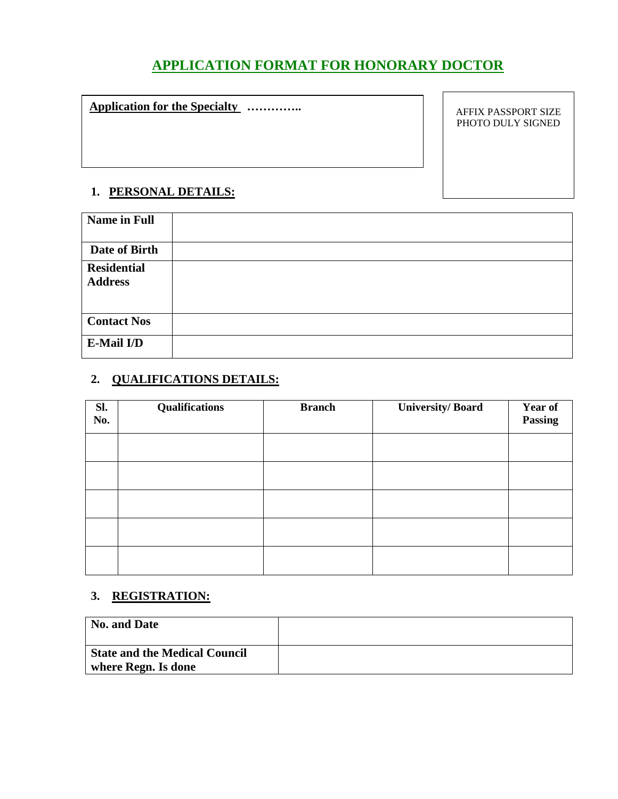# **APPLICATION FORMAT FOR HONORARY DOCTOR**

# **Application for the Specialty …………..**

AFFIX PASSPORT SIZE PHOTO DULY SIGNED

# **1. PERSONAL DETAILS:**

| <b>Name in Full</b>                  |  |
|--------------------------------------|--|
|                                      |  |
| Date of Birth                        |  |
| <b>Residential</b><br><b>Address</b> |  |
| <b>Contact Nos</b>                   |  |
| E-Mail I/D                           |  |

# **2. QUALIFICATIONS DETAILS:**

| Sl.<br>No. | <b>Qualifications</b> | <b>Branch</b> | <b>University/Board</b> | <b>Year of</b><br>Passing |
|------------|-----------------------|---------------|-------------------------|---------------------------|
|            |                       |               |                         |                           |
|            |                       |               |                         |                           |
|            |                       |               |                         |                           |
|            |                       |               |                         |                           |
|            |                       |               |                         |                           |

# **3. REGISTRATION:**

| No. and Date                         |  |
|--------------------------------------|--|
| <b>State and the Medical Council</b> |  |
| where Regn. Is done                  |  |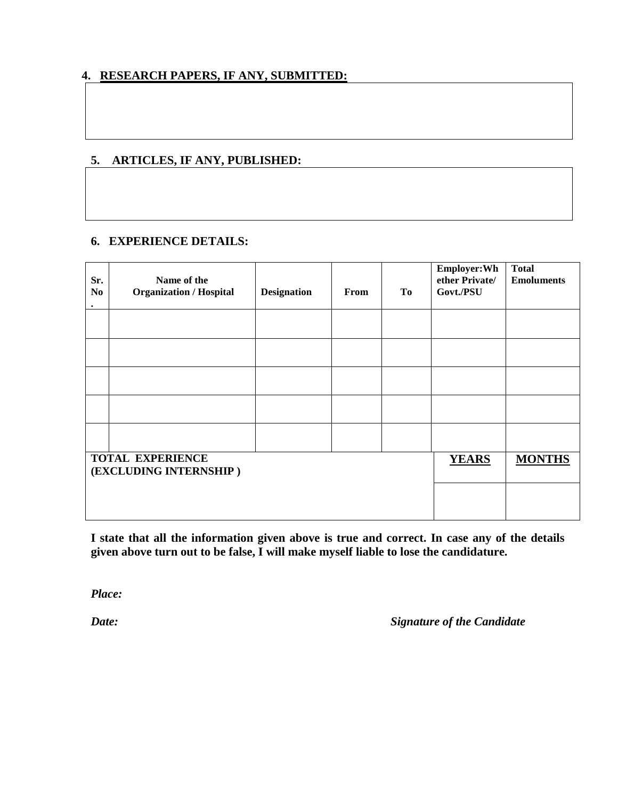# **4. RESEARCH PAPERS, IF ANY, SUBMITTED:**

#### **5. ARTICLES, IF ANY, PUBLISHED:**

#### **6. EXPERIENCE DETAILS:**

| Sr.<br>N <sub>0</sub><br>$\bullet$                | Name of the<br><b>Organization / Hospital</b> | <b>Designation</b> | From | To           | Employer: Wh<br>ether Private/<br>Govt./PSU | <b>Total</b><br><b>Emoluments</b> |
|---------------------------------------------------|-----------------------------------------------|--------------------|------|--------------|---------------------------------------------|-----------------------------------|
|                                                   |                                               |                    |      |              |                                             |                                   |
|                                                   |                                               |                    |      |              |                                             |                                   |
|                                                   |                                               |                    |      |              |                                             |                                   |
|                                                   |                                               |                    |      |              |                                             |                                   |
|                                                   |                                               |                    |      |              |                                             |                                   |
| <b>TOTAL EXPERIENCE</b><br>(EXCLUDING INTERNSHIP) |                                               |                    |      | <b>YEARS</b> | <b>MONTHS</b>                               |                                   |
|                                                   |                                               |                    |      |              |                                             |                                   |

**I state that all the information given above is true and correct. In case any of the details given above turn out to be false, I will make myself liable to lose the candidature.**

*Place:*

*Date: Signature of the Candidate*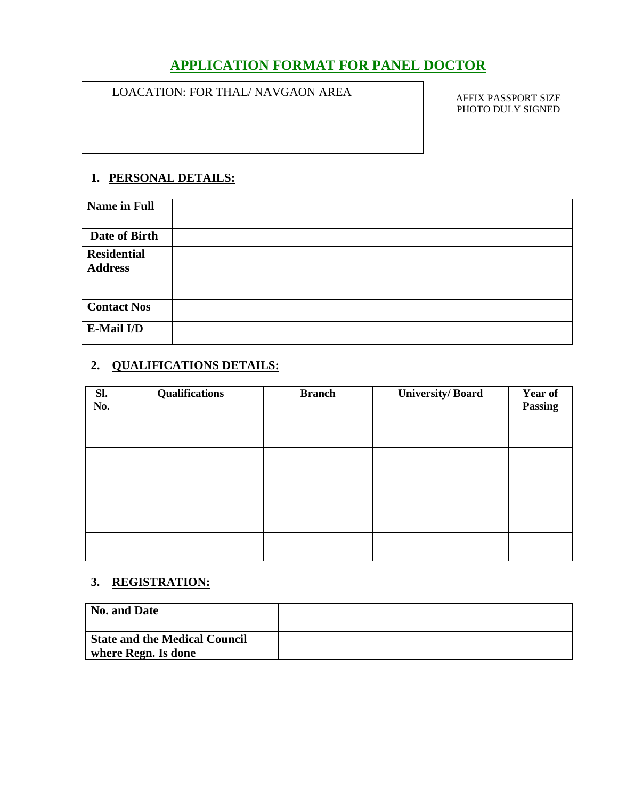# **APPLICATION FORMAT FOR PANEL DOCTOR**

#### LOACATION: FOR THAL/ NAVGAON AREA

AFFIX PASSPORT SIZE PHOTO DULY SIGNED

### **1. PERSONAL DETAILS:**

| <b>Name in Full</b> |  |
|---------------------|--|
|                     |  |
|                     |  |
| Date of Birth       |  |
| <b>Residential</b>  |  |
| <b>Address</b>      |  |
|                     |  |
|                     |  |
| <b>Contact Nos</b>  |  |
| E-Mail I/D          |  |
|                     |  |

# **2. QUALIFICATIONS DETAILS:**

| Sl.<br>No. | <b>Qualifications</b> | <b>Branch</b> | <b>University/Board</b> | <b>Year of</b><br>Passing |
|------------|-----------------------|---------------|-------------------------|---------------------------|
|            |                       |               |                         |                           |
|            |                       |               |                         |                           |
|            |                       |               |                         |                           |
|            |                       |               |                         |                           |
|            |                       |               |                         |                           |

# **3. REGISTRATION:**

| No. and Date                                                |  |
|-------------------------------------------------------------|--|
| <b>State and the Medical Council</b><br>where Regn. Is done |  |